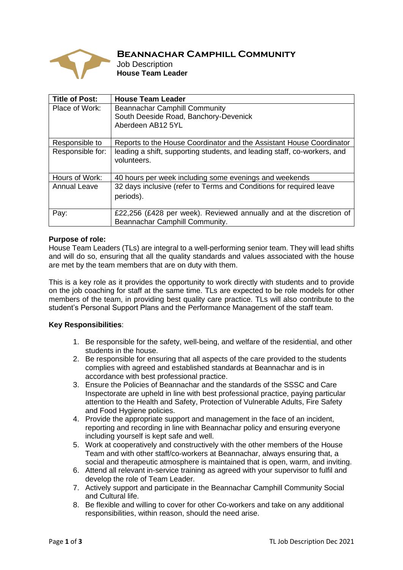

# **Beannachar Camphill Community**

Job Description **House Team Leader**

| <b>Title of Post:</b> | <b>House Team Leader</b>                                                 |
|-----------------------|--------------------------------------------------------------------------|
| Place of Work:        | <b>Beannachar Camphill Community</b>                                     |
|                       | South Deeside Road, Banchory-Devenick                                    |
|                       | Aberdeen AB12 5YL                                                        |
|                       |                                                                          |
| Responsible to        | Reports to the House Coordinator and the Assistant House Coordinator     |
| Responsible for:      | leading a shift, supporting students, and leading staff, co-workers, and |
|                       | volunteers.                                                              |
|                       |                                                                          |
| Hours of Work:        | 40 hours per week including some evenings and weekends                   |
| <b>Annual Leave</b>   | 32 days inclusive (refer to Terms and Conditions for required leave      |
|                       | periods).                                                                |
|                       |                                                                          |
| Pay:                  | £22,256 (£428 per week). Reviewed annually and at the discretion of      |
|                       | Beannachar Camphill Community.                                           |

## **Purpose of role:**

House Team Leaders (TLs) are integral to a well-performing senior team. They will lead shifts and will do so, ensuring that all the quality standards and values associated with the house are met by the team members that are on duty with them.

This is a key role as it provides the opportunity to work directly with students and to provide on the job coaching for staff at the same time. TLs are expected to be role models for other members of the team, in providing best quality care practice. TLs will also contribute to the student's Personal Support Plans and the Performance Management of the staff team.

## **Key Responsibilities**:

- 1. Be responsible for the safety, well-being, and welfare of the residential, and other students in the house.
- 2. Be responsible for ensuring that all aspects of the care provided to the students complies with agreed and established standards at Beannachar and is in accordance with best professional practice.
- 3. Ensure the Policies of Beannachar and the standards of the SSSC and Care Inspectorate are upheld in line with best professional practice, paying particular attention to the Health and Safety, Protection of Vulnerable Adults, Fire Safety and Food Hygiene policies.
- 4. Provide the appropriate support and management in the face of an incident, reporting and recording in line with Beannachar policy and ensuring everyone including yourself is kept safe and well.
- 5. Work at cooperatively and constructively with the other members of the House Team and with other staff/co-workers at Beannachar, always ensuring that, a social and therapeutic atmosphere is maintained that is open, warm, and inviting.
- 6. Attend all relevant in-service training as agreed with your supervisor to fulfil and develop the role of Team Leader.
- 7. Actively support and participate in the Beannachar Camphill Community Social and Cultural life.
- 8. Be flexible and willing to cover for other Co-workers and take on any additional responsibilities, within reason, should the need arise.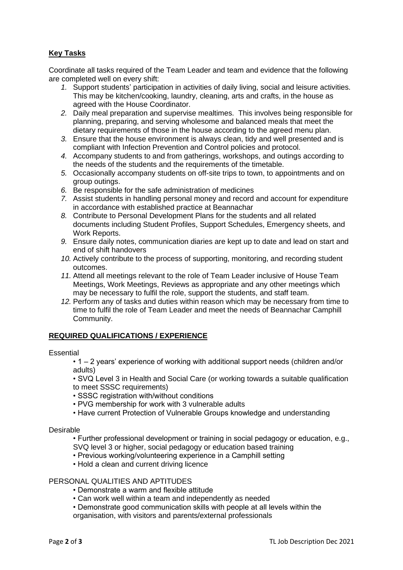# **Key Tasks**

Coordinate all tasks required of the Team Leader and team and evidence that the following are completed well on every shift:

- *1.* Support students' participation in activities of daily living, social and leisure activities. This may be kitchen/cooking, laundry, cleaning, arts and crafts, in the house as agreed with the House Coordinator.
- *2.* Daily meal preparation and supervise mealtimes. This involves being responsible for planning, preparing, and serving wholesome and balanced meals that meet the dietary requirements of those in the house according to the agreed menu plan.
- *3.* Ensure that the house environment is always clean, tidy and well presented and is compliant with Infection Prevention and Control policies and protocol.
- *4.* Accompany students to and from gatherings, workshops, and outings according to the needs of the students and the requirements of the timetable.
- *5.* Occasionally accompany students on off-site trips to town, to appointments and on group outings.
- *6.* Be responsible for the safe administration of medicines
- *7.* Assist students in handling personal money and record and account for expenditure in accordance with established practice at Beannachar
- *8.* Contribute to Personal Development Plans for the students and all related documents including Student Profiles, Support Schedules, Emergency sheets, and Work Reports.
- *9.* Ensure daily notes, communication diaries are kept up to date and lead on start and end of shift handovers
- *10.* Actively contribute to the process of supporting, monitoring, and recording student outcomes.
- *11.* Attend all meetings relevant to the role of Team Leader inclusive of House Team Meetings, Work Meetings, Reviews as appropriate and any other meetings which may be necessary to fulfil the role, support the students, and staff team.
- *12.* Perform any of tasks and duties within reason which may be necessary from time to time to fulfil the role of Team Leader and meet the needs of Beannachar Camphill Community.

## **REQUIRED QUALIFICATIONS / EXPERIENCE**

### **Essential**

• 1 – 2 years' experience of working with additional support needs (children and/or adults)

• SVQ Level 3 in Health and Social Care (or working towards a suitable qualification to meet SSSC requirements)

- SSSC registration with/without conditions
- PVG membership for work with 3 vulnerable adults
- Have current Protection of Vulnerable Groups knowledge and understanding

### Desirable

• Further professional development or training in social pedagogy or education, e.g., SVQ level 3 or higher, social pedagogy or education based training

- Previous working/volunteering experience in a Camphill setting
- Hold a clean and current driving licence

### PERSONAL QUALITIES AND APTITUDES

- Demonstrate a warm and flexible attitude
- Can work well within a team and independently as needed
- Demonstrate good communication skills with people at all levels within the organisation, with visitors and parents/external professionals